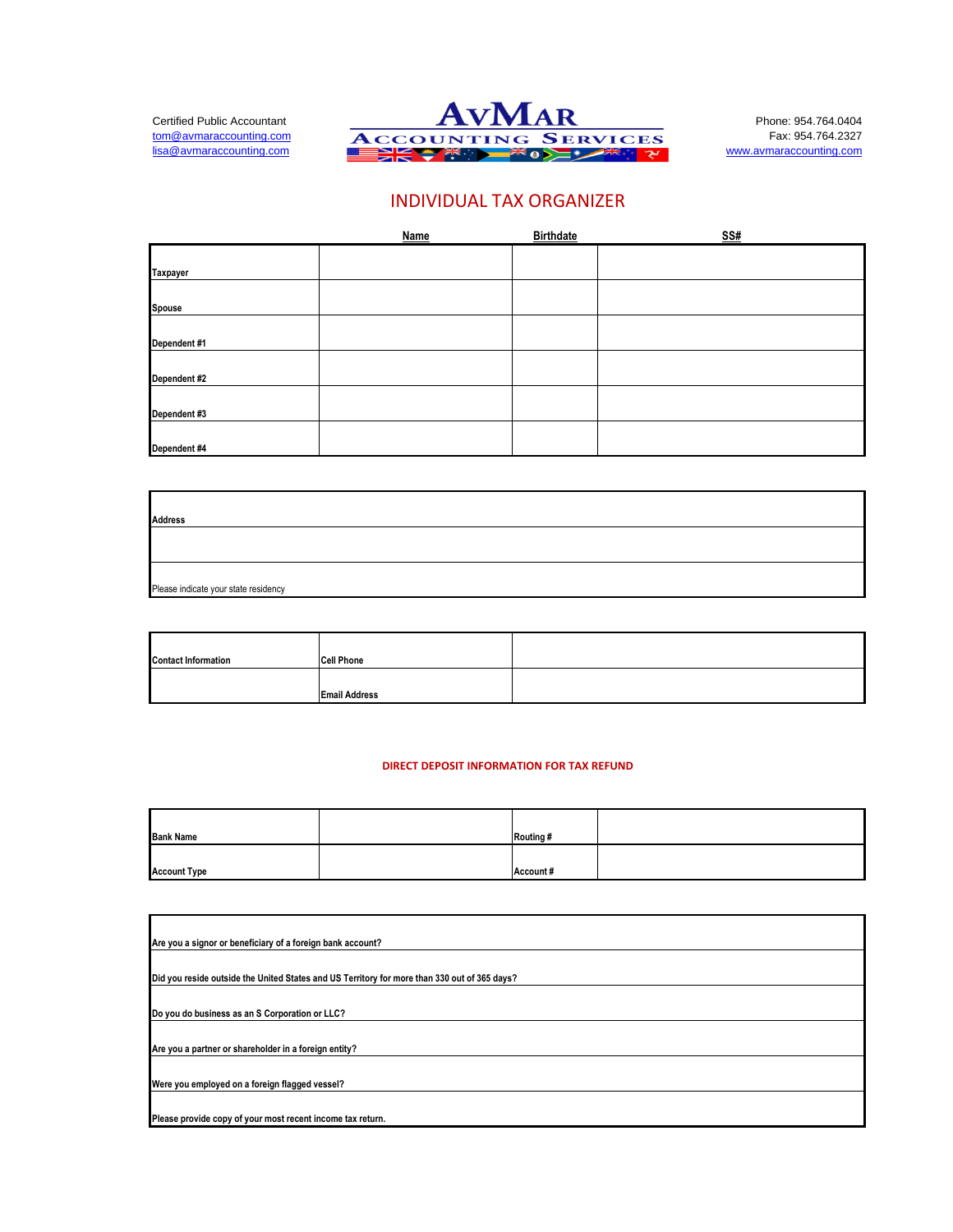

# INDIVIDUAL TAX ORGANIZER

|              | <b>Name</b> | <b>Birthdate</b> | <u>SS#</u> |
|--------------|-------------|------------------|------------|
|              |             |                  |            |
| Taxpayer     |             |                  |            |
| Spouse       |             |                  |            |
| Dependent #1 |             |                  |            |
| Dependent #2 |             |                  |            |
| Dependent #3 |             |                  |            |
| Dependent #4 |             |                  |            |

| <b>Address</b>                       |  |
|--------------------------------------|--|
|                                      |  |
| Please indicate your state residency |  |

| <b>Contact Information</b> | <b>Cell Phone</b>    |  |
|----------------------------|----------------------|--|
|                            |                      |  |
|                            | <b>Email Address</b> |  |

#### **DIRECT DEPOSIT INFORMATION FOR TAX REFUND**

| <b>Bank Name</b>    | Routing # |  |
|---------------------|-----------|--|
|                     |           |  |
| <b>Account Type</b> | Account#  |  |

| Are you a signor or beneficiary of a foreign bank account?                                   |
|----------------------------------------------------------------------------------------------|
|                                                                                              |
| Did you reside outside the United States and US Territory for more than 330 out of 365 days? |
|                                                                                              |
| Do you do business as an S Corporation or LLC?                                               |
|                                                                                              |
| Are you a partner or shareholder in a foreign entity?                                        |
|                                                                                              |
| Were you employed on a foreign flagged vessel?                                               |
|                                                                                              |
| Please provide copy of your most recent income tax return.                                   |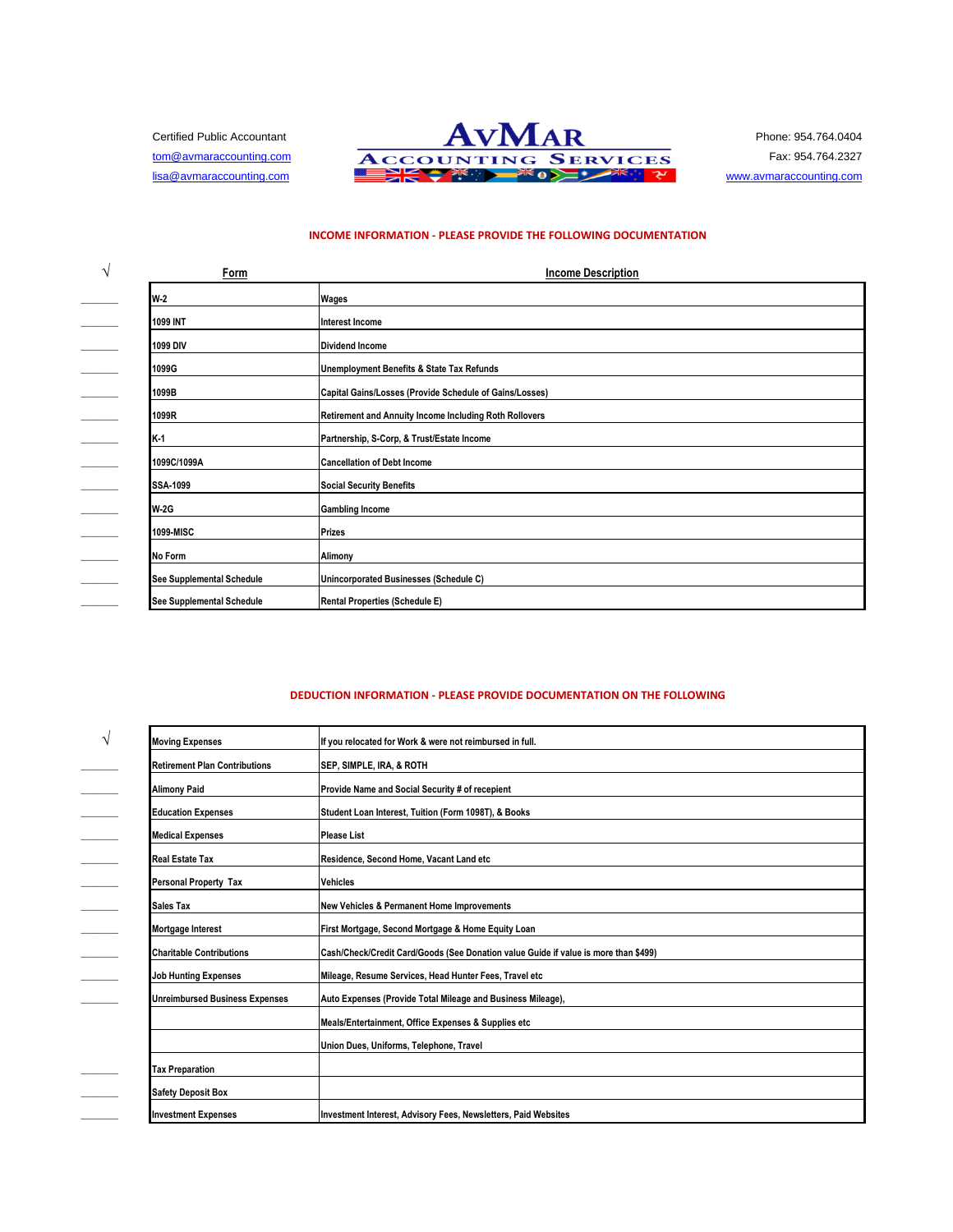

#### **INCOME INFORMATION - PLEASE PROVIDE THE FOLLOWING DOCUMENTATION**

| ٦ | Form                      | <b>Income Description</b>                               |  |
|---|---------------------------|---------------------------------------------------------|--|
|   | <b>W-2</b>                | Wages                                                   |  |
|   | 1099 INT                  | Interest Income                                         |  |
|   | 1099 DIV                  | <b>Dividend Income</b>                                  |  |
|   | 1099G                     | Unemployment Benefits & State Tax Refunds               |  |
|   | 1099B                     | Capital Gains/Losses (Provide Schedule of Gains/Losses) |  |
|   | 1099R                     | Retirement and Annuity Income Including Roth Rollovers  |  |
|   | K-1                       | Partnership, S-Corp, & Trust/Estate Income              |  |
|   | 1099C/1099A               | <b>Cancellation of Debt Income</b>                      |  |
|   | <b>SSA-1099</b>           | <b>Social Security Benefits</b>                         |  |
|   | <b>W-2G</b>               | <b>Gambling Income</b>                                  |  |
|   | 1099-MISC                 | <b>Prizes</b>                                           |  |
|   | <b>No Form</b>            | Alimony                                                 |  |
|   | See Supplemental Schedule | Unincorporated Businesses (Schedule C)                  |  |
|   | See Supplemental Schedule | <b>Rental Properties (Schedule E)</b>                   |  |

## **DEDUCTION INFORMATION - PLEASE PROVIDE DOCUMENTATION ON THE FOLLOWING**

| <b>Moving Expenses</b>                | If you relocated for Work & were not reimbursed in full.                            |  |
|---------------------------------------|-------------------------------------------------------------------------------------|--|
| <b>Retirement Plan Contributions</b>  | SEP, SIMPLE, IRA, & ROTH                                                            |  |
| <b>Alimony Paid</b>                   | Provide Name and Social Security # of recepient                                     |  |
| <b>Education Expenses</b>             | Student Loan Interest, Tuition (Form 1098T), & Books                                |  |
| <b>Medical Expenses</b>               | <b>Please List</b>                                                                  |  |
| Real Estate Tax                       | Residence, Second Home, Vacant Land etc                                             |  |
| <b>Personal Property Tax</b>          | <b>Vehicles</b>                                                                     |  |
| Sales Tax                             | <b>New Vehicles &amp; Permanent Home Improvements</b>                               |  |
| Mortgage Interest                     | First Mortgage, Second Mortgage & Home Equity Loan                                  |  |
| <b>Charitable Contributions</b>       | Cash/Check/Credit Card/Goods (See Donation value Guide if value is more than \$499) |  |
| <b>Job Hunting Expenses</b>           | Mileage, Resume Services, Head Hunter Fees, Travel etc                              |  |
| <b>Unreimbursed Business Expenses</b> | Auto Expenses (Provide Total Mileage and Business Mileage),                         |  |
|                                       | Meals/Entertainment, Office Expenses & Supplies etc                                 |  |
|                                       | Union Dues, Uniforms, Telephone, Travel                                             |  |
| <b>Tax Preparation</b>                |                                                                                     |  |
| <b>Safety Deposit Box</b>             |                                                                                     |  |
| <b>Investment Expenses</b>            | Investment Interest, Advisory Fees, Newsletters, Paid Websites                      |  |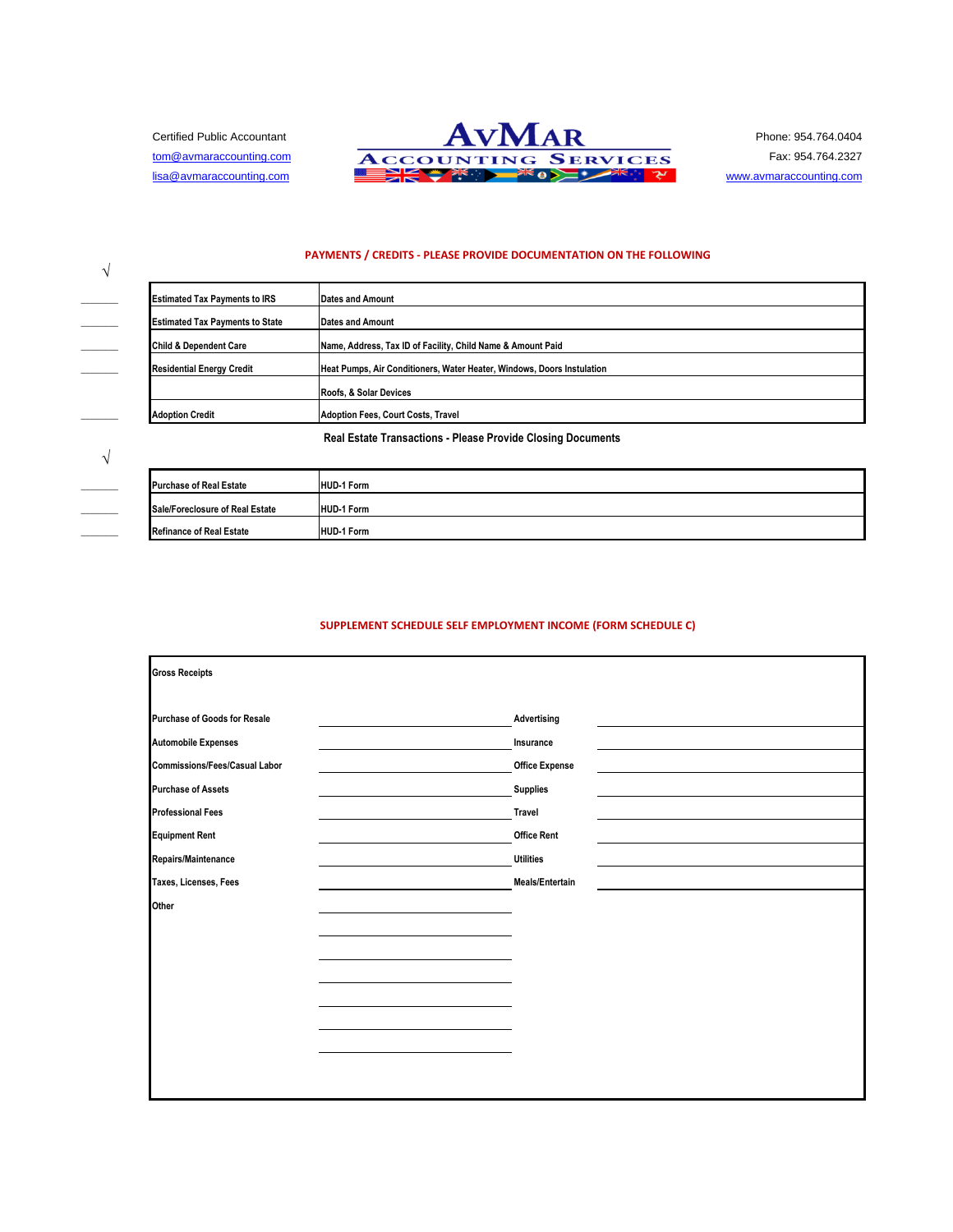**√**

**√**



#### **PAYMENTS / CREDITS - PLEASE PROVIDE DOCUMENTATION ON THE FOLLOWING**

| <b>Estimated Tax Payments to IRS</b>   | <b>Dates and Amount</b>                                                |  |
|----------------------------------------|------------------------------------------------------------------------|--|
| <b>Estimated Tax Payments to State</b> | <b>Dates and Amount</b>                                                |  |
| <b>Child &amp; Dependent Care</b>      | Name, Address, Tax ID of Facility, Child Name & Amount Paid            |  |
| <b>Residential Energy Credit</b>       | Heat Pumps, Air Conditioners, Water Heater, Windows, Doors Instulation |  |
|                                        | Roofs, & Solar Devices                                                 |  |
| <b>Adoption Credit</b>                 | Adoption Fees, Court Costs, Travel                                     |  |

**Real Estate Transactions - Please Provide Closing Documents**

| <b>Purchase of Real Estate</b>  | <b>HUD-1 Form</b> |
|---------------------------------|-------------------|
| Sale/Foreclosure of Real Estate | <b>HUD-1 Form</b> |
| Refinance of Real Estate        | <b>HUD-1 Form</b> |

# **SUPPLEMENT SCHEDULE SELF EMPLOYMENT INCOME (FORM SCHEDULE C)**

| <b>Gross Receipts</b>                |                       |
|--------------------------------------|-----------------------|
| Purchase of Goods for Resale         | Advertising           |
| <b>Automobile Expenses</b>           | Insurance             |
| <b>Commissions/Fees/Casual Labor</b> | <b>Office Expense</b> |
| <b>Purchase of Assets</b>            | <b>Supplies</b>       |
| <b>Professional Fees</b>             | Travel                |
| <b>Equipment Rent</b>                | <b>Office Rent</b>    |
| Repairs/Maintenance                  | <b>Utilities</b>      |
| Taxes, Licenses, Fees                | Meals/Entertain       |
| Other                                |                       |
|                                      |                       |
|                                      |                       |
|                                      |                       |
|                                      |                       |
|                                      |                       |
|                                      |                       |
|                                      |                       |
|                                      |                       |